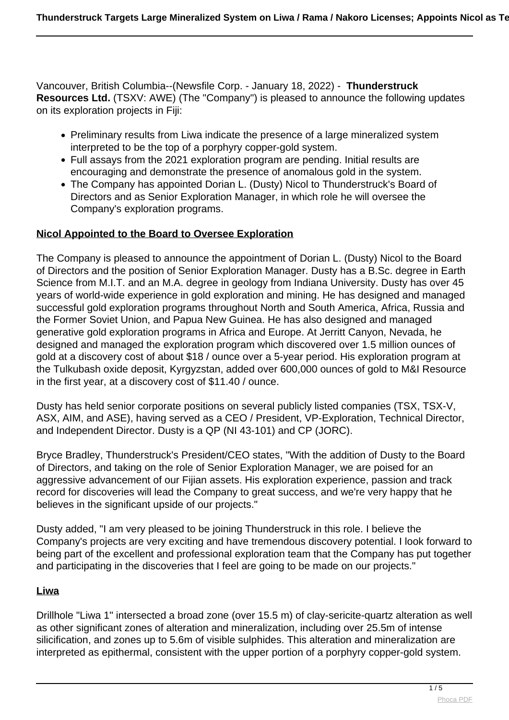Vancouver, British Columbia--(Newsfile Corp. - January 18, 2022) - **Thunderstruck Resources Ltd.** (TSXV: AWE) (The "Company") is pleased to announce the following updates on its exploration projects in Fiji:

- Preliminary results from Liwa indicate the presence of a large mineralized system interpreted to be the top of a porphyry copper-gold system.
- Full assays from the 2021 exploration program are pending. Initial results are encouraging and demonstrate the presence of anomalous gold in the system.
- The Company has appointed Dorian L. (Dusty) Nicol to Thunderstruck's Board of Directors and as Senior Exploration Manager, in which role he will oversee the Company's exploration programs.

#### **Nicol Appointed to the Board to Oversee Exploration**

The Company is pleased to announce the appointment of Dorian L. (Dusty) Nicol to the Board of Directors and the position of Senior Exploration Manager. Dusty has a B.Sc. degree in Earth Science from M.I.T. and an M.A. degree in geology from Indiana University. Dusty has over 45 years of world-wide experience in gold exploration and mining. He has designed and managed successful gold exploration programs throughout North and South America, Africa, Russia and the Former Soviet Union, and Papua New Guinea. He has also designed and managed generative gold exploration programs in Africa and Europe. At Jerritt Canyon, Nevada, he designed and managed the exploration program which discovered over 1.5 million ounces of gold at a discovery cost of about \$18 / ounce over a 5-year period. His exploration program at the Tulkubash oxide deposit, Kyrgyzstan, added over 600,000 ounces of gold to M&I Resource in the first year, at a discovery cost of \$11.40 / ounce.

Dusty has held senior corporate positions on several publicly listed companies (TSX, TSX-V, ASX, AIM, and ASE), having served as a CEO / President, VP-Exploration, Technical Director, and Independent Director. Dusty is a QP (NI 43-101) and CP (JORC).

Bryce Bradley, Thunderstruck's President/CEO states, "With the addition of Dusty to the Board of Directors, and taking on the role of Senior Exploration Manager, we are poised for an aggressive advancement of our Fijian assets. His exploration experience, passion and track record for discoveries will lead the Company to great success, and we're very happy that he believes in the significant upside of our projects."

Dusty added, "I am very pleased to be joining Thunderstruck in this role. I believe the Company's projects are very exciting and have tremendous discovery potential. I look forward to being part of the excellent and professional exploration team that the Company has put together and participating in the discoveries that I feel are going to be made on our projects."

#### **Liwa**

Drillhole "Liwa 1" intersected a broad zone (over 15.5 m) of clay-sericite-quartz alteration as well as other significant zones of alteration and mineralization, including over 25.5m of intense silicification, and zones up to 5.6m of visible sulphides. This alteration and mineralization are interpreted as epithermal, consistent with the upper portion of a porphyry copper-gold system.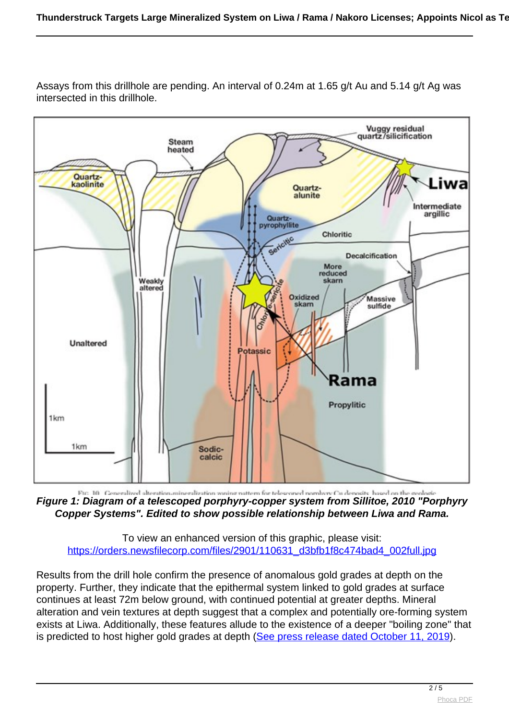

Assays from this drillhole are pending. An interval of 0.24m at 1.65 g/t Au and 5.14 g/t Ag was intersected in this drillhole.

Fig. 10 Ceneralized alteration mineralization wasing nattern for telesconed normbory Cu denosity hased on the gen **Figure 1: Diagram of a telescoped porphyry-copper system from Sillitoe, 2010 "Porphyry Copper Systems". Edited to show possible relationship between Liwa and Rama.**

To view an enhanced version of this graphic, please visit: [https://orders.newsfilecorp.com/files/2901/110631\\_d3bfb1f8c474bad4\\_002full.jpg](https://orders.newsfilecorp.com/files/2901/110631_d3bfb1f8c474bad4_002full.jpg)

Results from the drill hole confirm the presence of anomalous gold grades at depth on the property. Further, they indicate that the epithermal system linked to gold grades at surface continues at least 72m below ground, with continued potential at greater depths. Mineral alteration and vein textures at depth suggest that a complex and potentially ore-forming system exists at Liwa. Additionally, these features allude to the existence of a deeper "boiling zone" that is predicted to host higher gold grades at depth ([See press release dated October 11, 2019](https://www.newsfilecorp.com/redirect/7eVg1IqyWV)).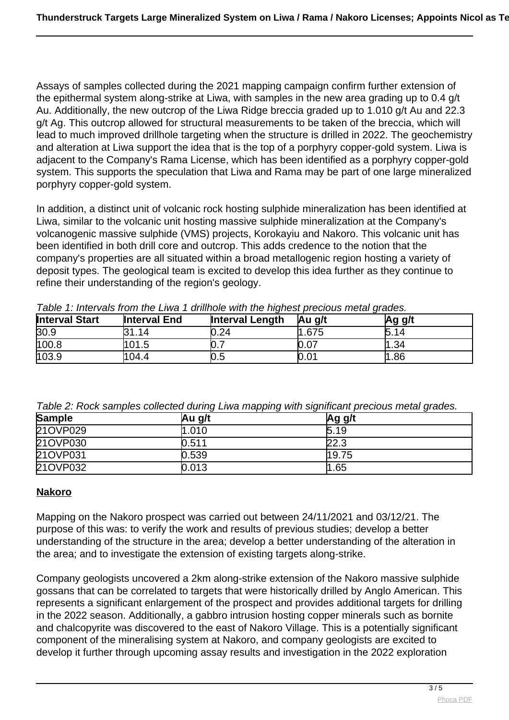Assays of samples collected during the 2021 mapping campaign confirm further extension of the epithermal system along-strike at Liwa, with samples in the new area grading up to 0.4 g/t Au. Additionally, the new outcrop of the Liwa Ridge breccia graded up to 1.010 g/t Au and 22.3 g/t Ag. This outcrop allowed for structural measurements to be taken of the breccia, which will lead to much improved drillhole targeting when the structure is drilled in 2022. The geochemistry and alteration at Liwa support the idea that is the top of a porphyry copper-gold system. Liwa is adjacent to the Company's Rama License, which has been identified as a porphyry copper-gold system. This supports the speculation that Liwa and Rama may be part of one large mineralized porphyry copper-gold system.

In addition, a distinct unit of volcanic rock hosting sulphide mineralization has been identified at Liwa, similar to the volcanic unit hosting massive sulphide mineralization at the Company's volcanogenic massive sulphide (VMS) projects, Korokayiu and Nakoro. This volcanic unit has been identified in both drill core and outcrop. This adds credence to the notion that the company's properties are all situated within a broad metallogenic region hosting a variety of deposit types. The geological team is excited to develop this idea further as they continue to refine their understanding of the region's geology.

| <b>Interval Start</b> | <b>Interval End</b> | <b>Interval Length</b> | <b>Au</b> g/t | Ag g/t |
|-----------------------|---------------------|------------------------|---------------|--------|
| 30.9                  | 1.14                | 0.24                   | 1.675         | 5.14   |
| 100.8                 | 101.5               | N. 1                   | 0.07          | 1.34   |
| 103.9                 | 104.4               | 0.5                    | 0.01          | .86    |

Table 1: Intervals from the Liwa 1 drillhole with the highest precious metal grades.

Table 2: Rock samples collected during Liwa mapping with significant precious metal grades.

| <b>Sample</b> | Au g/t | Ag g/t |
|---------------|--------|--------|
| 21OVP029      | 1.010  | 5.19   |
| 21OVP030      | 0.511  | 22.3   |
| 210VP031      | 0.539  | 19.75  |
| 21OVP032      | 0.013  | 1.65   |

# **Nakoro**

Mapping on the Nakoro prospect was carried out between 24/11/2021 and 03/12/21. The purpose of this was: to verify the work and results of previous studies; develop a better understanding of the structure in the area; develop a better understanding of the alteration in the area; and to investigate the extension of existing targets along-strike.

Company geologists uncovered a 2km along-strike extension of the Nakoro massive sulphide gossans that can be correlated to targets that were historically drilled by Anglo American. This represents a significant enlargement of the prospect and provides additional targets for drilling in the 2022 season. Additionally, a gabbro intrusion hosting copper minerals such as bornite and chalcopyrite was discovered to the east of Nakoro Village. This is a potentially significant component of the mineralising system at Nakoro, and company geologists are excited to develop it further through upcoming assay results and investigation in the 2022 exploration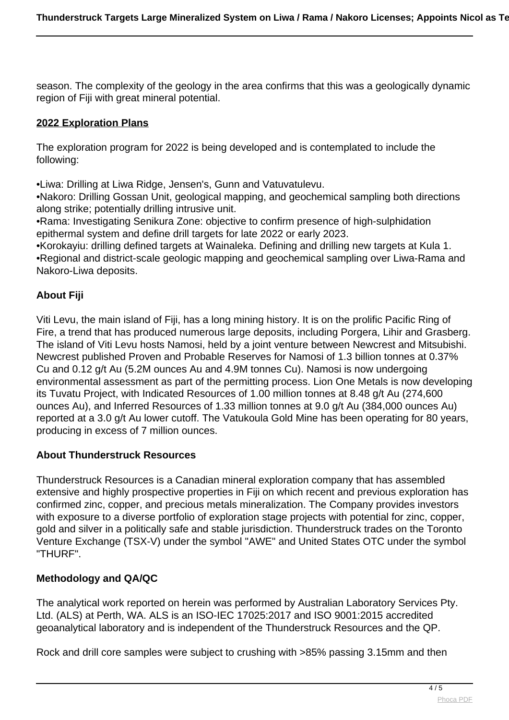season. The complexity of the geology in the area confirms that this was a geologically dynamic region of Fiji with great mineral potential.

# **2022 Exploration Plans**

The exploration program for 2022 is being developed and is contemplated to include the following:

•Liwa: Drilling at Liwa Ridge, Jensen's, Gunn and Vatuvatulevu.

•Nakoro: Drilling Gossan Unit, geological mapping, and geochemical sampling both directions along strike; potentially drilling intrusive unit.

•Rama: Investigating Senikura Zone: objective to confirm presence of high-sulphidation epithermal system and define drill targets for late 2022 or early 2023.

•Korokayiu: drilling defined targets at Wainaleka. Defining and drilling new targets at Kula 1. •Regional and district-scale geologic mapping and geochemical sampling over Liwa-Rama and Nakoro-Liwa deposits.

# **About Fiji**

Viti Levu, the main island of Fiji, has a long mining history. It is on the prolific Pacific Ring of Fire, a trend that has produced numerous large deposits, including Porgera, Lihir and Grasberg. The island of Viti Levu hosts Namosi, held by a joint venture between Newcrest and Mitsubishi. Newcrest published Proven and Probable Reserves for Namosi of 1.3 billion tonnes at 0.37% Cu and 0.12 g/t Au (5.2M ounces Au and 4.9M tonnes Cu). Namosi is now undergoing environmental assessment as part of the permitting process. Lion One Metals is now developing its Tuvatu Project, with Indicated Resources of 1.00 million tonnes at 8.48 g/t Au (274,600 ounces Au), and Inferred Resources of 1.33 million tonnes at 9.0 g/t Au (384,000 ounces Au) reported at a 3.0 g/t Au lower cutoff. The Vatukoula Gold Mine has been operating for 80 years, producing in excess of 7 million ounces.

# **About Thunderstruck Resources**

Thunderstruck Resources is a Canadian mineral exploration company that has assembled extensive and highly prospective properties in Fiji on which recent and previous exploration has confirmed zinc, copper, and precious metals mineralization. The Company provides investors with exposure to a diverse portfolio of exploration stage projects with potential for zinc, copper, gold and silver in a politically safe and stable jurisdiction. Thunderstruck trades on the Toronto Venture Exchange (TSX-V) under the symbol "AWE" and United States OTC under the symbol "THURF".

# **Methodology and QA/QC**

The analytical work reported on herein was performed by Australian Laboratory Services Pty. Ltd. (ALS) at Perth, WA. ALS is an ISO-IEC 17025:2017 and ISO 9001:2015 accredited geoanalytical laboratory and is independent of the Thunderstruck Resources and the QP.

Rock and drill core samples were subject to crushing with >85% passing 3.15mm and then